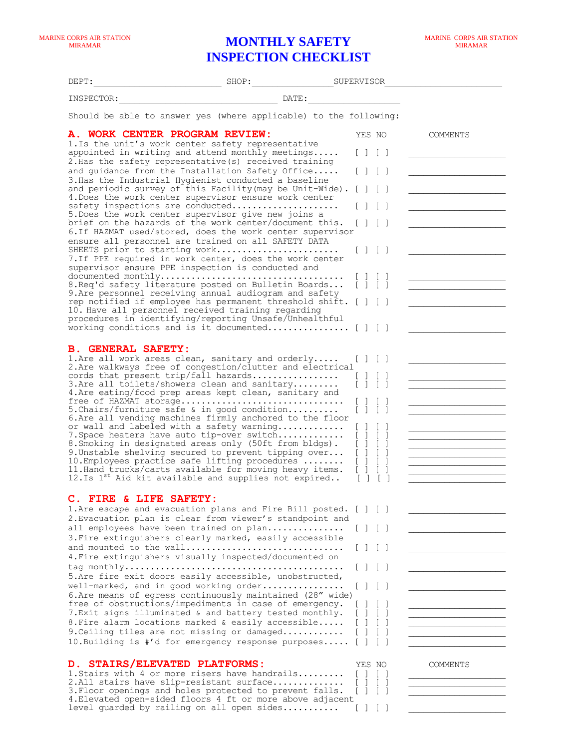## **MONTHLY SAFETY INSPECTION CHECKLIST**

| DEPT:                                                                                                                                                                                                                                                                                                                                                                                                                                                                                                                                                                                                                                                                                                                                                                                                                                                                                                                                                                                                                                                                                                                                                                           | SHOP: SHOP: SUPERVISOR |                                                                                                |          |
|---------------------------------------------------------------------------------------------------------------------------------------------------------------------------------------------------------------------------------------------------------------------------------------------------------------------------------------------------------------------------------------------------------------------------------------------------------------------------------------------------------------------------------------------------------------------------------------------------------------------------------------------------------------------------------------------------------------------------------------------------------------------------------------------------------------------------------------------------------------------------------------------------------------------------------------------------------------------------------------------------------------------------------------------------------------------------------------------------------------------------------------------------------------------------------|------------------------|------------------------------------------------------------------------------------------------|----------|
| INSPECTOR:                                                                                                                                                                                                                                                                                                                                                                                                                                                                                                                                                                                                                                                                                                                                                                                                                                                                                                                                                                                                                                                                                                                                                                      |                        |                                                                                                |          |
| Should be able to answer yes (where applicable) to the following:                                                                                                                                                                                                                                                                                                                                                                                                                                                                                                                                                                                                                                                                                                                                                                                                                                                                                                                                                                                                                                                                                                               |                        |                                                                                                |          |
| <b>A. WORK CENTER PROGRAM REVIEW:</b><br>1.Is the unit's work center safety representative<br>appointed in writing and attend monthly meetings<br>2. Has the safety representative (s) received training<br>and quidance from the Installation Safety Office<br>3. Has the Industrial Hygienist conducted a baseline<br>and periodic survey of this Facility (may be Unit-Wide). [ ] [ ]<br>4. Does the work center supervisor ensure work center<br>safety inspections are conducted<br>5. Does the work center supervisor give new joins a<br>brief on the hazards of the work center/document this.<br>6. If HAZMAT used/stored, does the work center supervisor<br>ensure all personnel are trained on all SAFETY DATA<br>SHEETS prior to starting work<br>7.If PPE required in work center, does the work center<br>supervisor ensure PPE inspection is conducted and<br>8. Req'd safety literature posted on Bulletin Boards<br>9. Are personnel receiving annual audiogram and safety<br>rep notified if employee has permanent threshold shift. [ ] [ ]<br>10. Have all personnel received training regarding<br>procedures in identifying/reporting Unsafe/Unhealthful |                        | YES NO<br>$\mathbf{1}$<br>$\mathbf{1}$<br>$\Box$<br>$\Box$<br>$\perp$<br>$\pm$<br>1111<br>1111 | COMMENTS |
| <b>B. GENERAL SAFETY:</b><br>1. Are all work areas clean, sanitary and orderly<br>2. Are walkways free of congestion/clutter and electrical<br>cords that present trip/fall hazards<br>3. Are all toilets/showers clean and sanitary<br>4. Are eating/food prep areas kept clean, sanitary and<br>free of HAZMAT storage<br>5. Chairs/furniture safe & in good condition<br>6.Are all vending machines firmly anchored to the floor<br>or wall and labeled with a safety warning<br>7. Space heaters have auto tip-over switch<br>8. Smoking in designated areas only (50ft from bldgs).<br>9. Unstable shelving secured to prevent tipping over<br>10. Employees practice safe lifting procedures<br>11. Hand trucks/carts available for moving heavy items.<br>12.Is 1 <sup>st</sup> Aid kit available and supplies not expired                                                                                                                                                                                                                                                                                                                                               |                        | 111<br>$\begin{bmatrix} 1 & 1 \end{bmatrix}$<br>[1]<br>[1]                                     |          |
| C. FIRE & LIFE SAFETY:<br>1. Are escape and evacuation plans and Fire Bill posted. [ ] [ ]<br>2. Evacuation plan is clear from viewer's standpoint and<br>all employees have been trained on plan<br>3. Fire extinguishers clearly marked, easily accessible<br>and mounted to the wall<br>4. Fire extinguishers visually inspected/documented on<br>5. Are fire exit doors easily accessible, unobstructed,<br>well-marked, and in good working order<br>6. Are means of egress continuously maintained (28" wide)<br>free of obstructions/impediments in case of emergency.<br>7. Exit signs illuminated & and battery tested monthly.<br>8. Fire alarm locations marked & easily accessible<br>9. Ceiling tiles are not missing or damaged<br>10. Building is #'d for emergency response purposes                                                                                                                                                                                                                                                                                                                                                                            |                        | 1111<br>1111<br>$\mathbf{1}$<br>$\mathbf{1}$<br>1111                                           |          |
| D. STAIRS/ELEVATED PLATFORMS:<br>1. Stairs with 4 or more risers have handrails<br>2.All stairs have slip-resistant surface<br>3. Floor openings and holes protected to prevent falls.<br>4. Elevated open-sided floors 4 ft or more above adjacent<br>level guarded by railing on all open sides                                                                                                                                                                                                                                                                                                                                                                                                                                                                                                                                                                                                                                                                                                                                                                                                                                                                               |                        | YES NO<br>$\perp$ 1<br>[111]<br>$\begin{array}{c} \hline \end{array}$                          | COMMENTS |